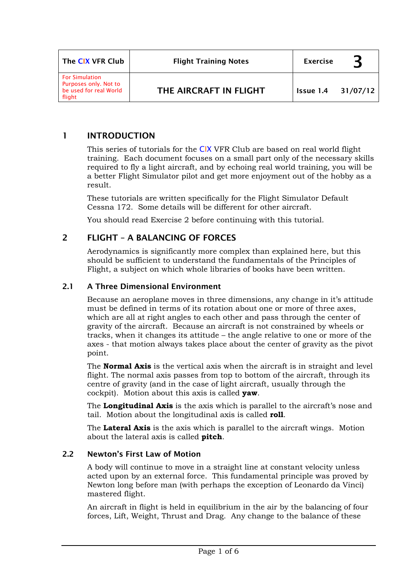| The CIX VFR Club                                                                   | <b>Flight Training Notes</b> | <b>Exercise</b> |          |
|------------------------------------------------------------------------------------|------------------------------|-----------------|----------|
| <b>For Simulation</b><br>Purposes only. Not to<br>be used for real World<br>flight | THE AIRCRAFT IN FLIGHT       | Issue 1.4       | 31/07/12 |

## 1 INTRODUCTION

This series of tutorials for the CIX VFR Club are based on real world flight training. Each document focuses on a small part only of the necessary skills required to fly a light aircraft, and by echoing real world training, you will be a better Flight Simulator pilot and get more enjoyment out of the hobby as a result.

These tutorials are written specifically for the Flight Simulator Default Cessna 172. Some details will be different for other aircraft.

You should read Exercise 2 before continuing with this tutorial.

## 2 FLIGHT – A BALANCING OF FORCES

Aerodynamics is significantly more complex than explained here, but this should be sufficient to understand the fundamentals of the Principles of Flight, a subject on which whole libraries of books have been written.

### 2.1 A Three Dimensional Environment

Because an aeroplane moves in three dimensions, any change in it's attitude must be defined in terms of its rotation about one or more of three axes, which are all at right angles to each other and pass through the center of gravity of the aircraft. Because an aircraft is not constrained by wheels or tracks, when it changes its attitude – the angle relative to one or more of the axes - that motion always takes place about the center of gravity as the pivot point.

The **Normal Axis** is the vertical axis when the aircraft is in straight and level flight. The normal axis passes from top to bottom of the aircraft, through its centre of gravity (and in the case of light aircraft, usually through the cockpit). Motion about this axis is called **yaw**.

The **Longitudinal Axis** is the axis which is parallel to the aircraft's nose and tail. Motion about the longitudinal axis is called **roll**.

The **Lateral Axis** is the axis which is parallel to the aircraft wings. Motion about the lateral axis is called **pitch**.

### 2.2 Newton's First Law of Motion

A body will continue to move in a straight line at constant velocity unless acted upon by an external force. This fundamental principle was proved by Newton long before man (with perhaps the exception of Leonardo da Vinci) mastered flight.

An aircraft in flight is held in equilibrium in the air by the balancing of four forces, Lift, Weight, Thrust and Drag. Any change to the balance of these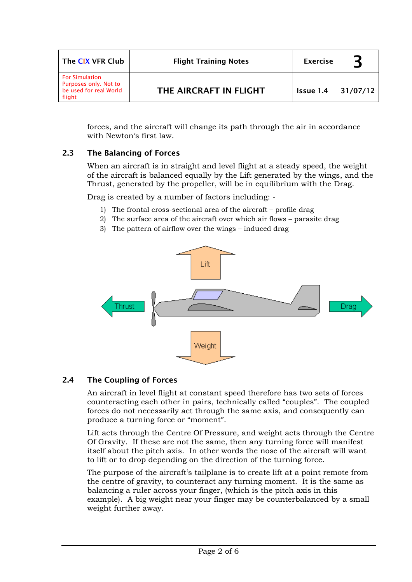| The CIX VFR Club                                                                   | <b>Flight Training Notes</b> | <b>Exercise</b> |          |
|------------------------------------------------------------------------------------|------------------------------|-----------------|----------|
| <b>For Simulation</b><br>Purposes only. Not to<br>be used for real World<br>flight | THE AIRCRAFT IN FLIGHT       | Issue 1.4       | 31/07/12 |

forces, and the aircraft will change its path through the air in accordance with Newton's first law.

## 2.3 The Balancing of Forces

When an aircraft is in straight and level flight at a steady speed, the weight of the aircraft is balanced equally by the Lift generated by the wings, and the Thrust, generated by the propeller, will be in equilibrium with the Drag.

Drag is created by a number of factors including: -

- 1) The frontal cross-sectional area of the aircraft profile drag
- 2) The surface area of the aircraft over which air flows parasite drag
- 3) The pattern of airflow over the wings induced drag



### 2.4 The Coupling of Forces

An aircraft in level flight at constant speed therefore has two sets of forces counteracting each other in pairs, technically called "couples". The coupled forces do not necessarily act through the same axis, and consequently can produce a turning force or "moment".

Lift acts through the Centre Of Pressure, and weight acts through the Centre Of Gravity. If these are not the same, then any turning force will manifest itself about the pitch axis. In other words the nose of the aircraft will want to lift or to drop depending on the direction of the turning force.

The purpose of the aircraft's tailplane is to create lift at a point remote from the centre of gravity, to counteract any turning moment. It is the same as balancing a ruler across your finger, (which is the pitch axis in this example). A big weight near your finger may be counterbalanced by a small weight further away.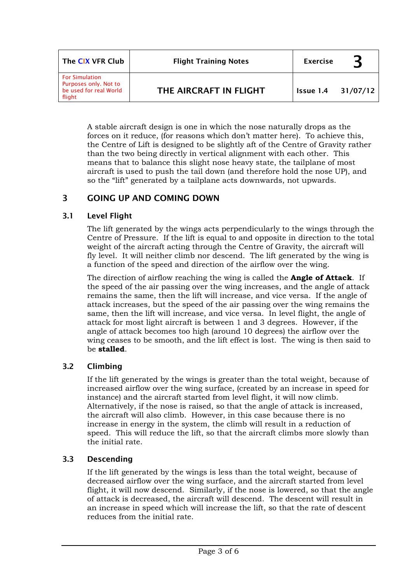| The CIX VFR Club                                                                   | <b>Flight Training Notes</b> | <b>Exercise</b> |          |
|------------------------------------------------------------------------------------|------------------------------|-----------------|----------|
| <b>For Simulation</b><br>Purposes only. Not to<br>be used for real World<br>flight | THE AIRCRAFT IN FLIGHT       | Issue 1.4       | 31/07/12 |

A stable aircraft design is one in which the nose naturally drops as the forces on it reduce, (for reasons which don't matter here). To achieve this, the Centre of Lift is designed to be slightly aft of the Centre of Gravity rather than the two being directly in vertical alignment with each other. This means that to balance this slight nose heavy state, the tailplane of most aircraft is used to push the tail down (and therefore hold the nose UP), and so the "lift" generated by a tailplane acts downwards, not upwards.

## 3 GOING UP AND COMING DOWN

### 3.1 Level Flight

The lift generated by the wings acts perpendicularly to the wings through the Centre of Pressure. If the lift is equal to and opposite in direction to the total weight of the aircraft acting through the Centre of Gravity, the aircraft will fly level. It will neither climb nor descend. The lift generated by the wing is a function of the speed and direction of the airflow over the wing.

The direction of airflow reaching the wing is called the **Angle of Attack**. If the speed of the air passing over the wing increases, and the angle of attack remains the same, then the lift will increase, and vice versa. If the angle of attack increases, but the speed of the air passing over the wing remains the same, then the lift will increase, and vice versa. In level flight, the angle of attack for most light aircraft is between 1 and 3 degrees. However, if the angle of attack becomes too high (around 10 degrees) the airflow over the wing ceases to be smooth, and the lift effect is lost. The wing is then said to be **stalled**.

## 3.2 Climbing

If the lift generated by the wings is greater than the total weight, because of increased airflow over the wing surface, (created by an increase in speed for instance) and the aircraft started from level flight, it will now climb. Alternatively, if the nose is raised, so that the angle of attack is increased, the aircraft will also climb. However, in this case because there is no increase in energy in the system, the climb will result in a reduction of speed. This will reduce the lift, so that the aircraft climbs more slowly than the initial rate.

### 3.3 Descending

If the lift generated by the wings is less than the total weight, because of decreased airflow over the wing surface, and the aircraft started from level flight, it will now descend. Similarly, if the nose is lowered, so that the angle of attack is decreased, the aircraft will descend. The descent will result in an increase in speed which will increase the lift, so that the rate of descent reduces from the initial rate.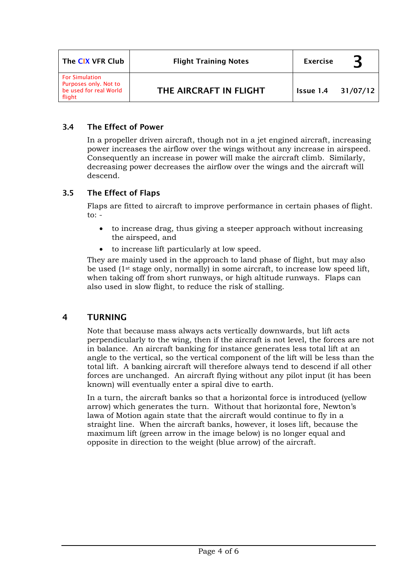| The CIX VFR Club                                                                   | <b>Flight Training Notes</b> | <b>Exercise</b> |          |
|------------------------------------------------------------------------------------|------------------------------|-----------------|----------|
| <b>For Simulation</b><br>Purposes only. Not to<br>be used for real World<br>flight | THE AIRCRAFT IN FLIGHT       | Issue 1.4       | 31/07/12 |

## 3.4 The Effect of Power

In a propeller driven aircraft, though not in a jet engined aircraft, increasing power increases the airflow over the wings without any increase in airspeed. Consequently an increase in power will make the aircraft climb. Similarly, decreasing power decreases the airflow over the wings and the aircraft will descend.

# 3.5 The Effect of Flaps

Flaps are fitted to aircraft to improve performance in certain phases of flight. to:  $-$ 

- to increase drag, thus giving a steeper approach without increasing the airspeed, and
- to increase lift particularly at low speed.

They are mainly used in the approach to land phase of flight, but may also be used ( $1^{st}$  stage only, normally) in some aircraft, to increase low speed lift, when taking off from short runways, or high altitude runways. Flaps can also used in slow flight, to reduce the risk of stalling.

# 4 TURNING

Note that because mass always acts vertically downwards, but lift acts perpendicularly to the wing, then if the aircraft is not level, the forces are not in balance. An aircraft banking for instance generates less total lift at an angle to the vertical, so the vertical component of the lift will be less than the total lift. A banking aircraft will therefore always tend to descend if all other forces are unchanged. An aircraft flying without any pilot input (it has been known) will eventually enter a spiral dive to earth.

In a turn, the aircraft banks so that a horizontal force is introduced (yellow arrow) which generates the turn. Without that horizontal fore, Newton's lawa of Motion again state that the aircraft would continue to fly in a straight line. When the aircraft banks, however, it loses lift, because the maximum lift (green arrow in the image below) is no longer equal and opposite in direction to the weight (blue arrow) of the aircraft.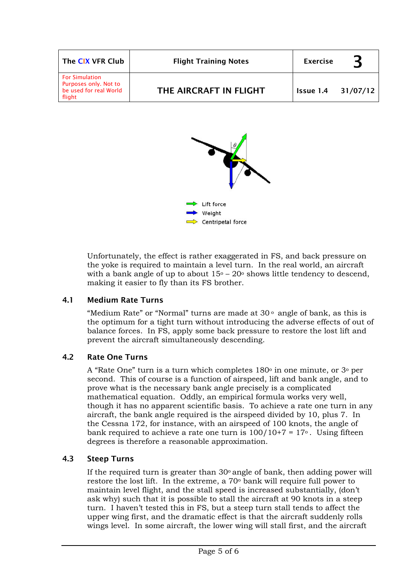| The CIX VFR Club                                                                   | <b>Flight Training Notes</b> | <b>Exercise</b>    |  |
|------------------------------------------------------------------------------------|------------------------------|--------------------|--|
| <b>For Simulation</b><br>Purposes only. Not to<br>be used for real World<br>flight | THE AIRCRAFT IN FLIGHT       | Issue 1.4 31/07/12 |  |



Unfortunately, the effect is rather exaggerated in FS, and back pressure on the yoke is required to maintain a level turn. In the real world, an aircraft with a bank angle of up to about  $15^{\circ} - 20^{\circ}$  shows little tendency to descend, making it easier to fly than its FS brother.

## 4.1 Medium Rate Turns

"Medium Rate" or "Normal" turns are made at  $30<sup>o</sup>$  angle of bank, as this is the optimum for a tight turn without introducing the adverse effects of out of balance forces. In FS, apply some back pressure to restore the lost lift and prevent the aircraft simultaneously descending.

## 4.2 Rate One Turns

A "Rate One" turn is a turn which completes  $180^\circ$  in one minute, or  $3^\circ$  per second. This of course is a function of airspeed, lift and bank angle, and to prove what is the necessary bank angle precisely is a complicated mathematical equation. Oddly, an empirical formula works very well, though it has no apparent scientific basis. To achieve a rate one turn in any aircraft, the bank angle required is the airspeed divided by 10, plus 7. In the Cessna 172, for instance, with an airspeed of 100 knots, the angle of bank required to achieve a rate one turn is  $100/10+7 = 17$ °. Using fifteen degrees is therefore a reasonable approximation.

### 4.3 Steep Turns

If the required turn is greater than  $30<sup>o</sup>$  angle of bank, then adding power will restore the lost lift. In the extreme, a 70o bank will require full power to maintain level flight, and the stall speed is increased substantially, (don't ask why) such that it is possible to stall the aircraft at 90 knots in a steep turn. I haven't tested this in FS, but a steep turn stall tends to affect the upper wing first, and the dramatic effect is that the aircraft suddenly rolls wings level. In some aircraft, the lower wing will stall first, and the aircraft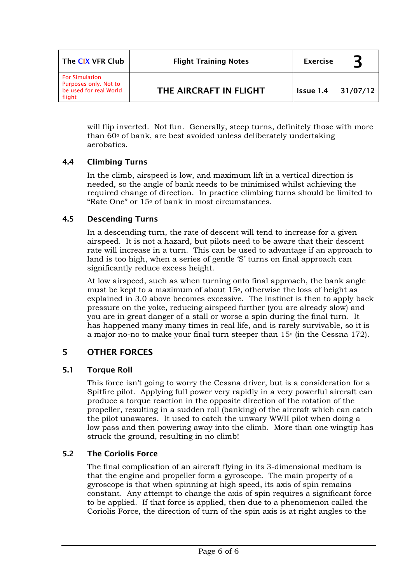| The CIX VFR Club                                                                   | <b>Flight Training Notes</b> | <b>Exercise</b>           |  |
|------------------------------------------------------------------------------------|------------------------------|---------------------------|--|
| <b>For Simulation</b><br>Purposes only. Not to<br>be used for real World<br>flight | THE AIRCRAFT IN FLIGHT       | <b>Issue 1.4 31/07/12</b> |  |

will flip inverted. Not fun. Generally, steep turns, definitely those with more than  $60^\circ$  of bank, are best avoided unless deliberately undertaking aerobatics.

### 4.4 Climbing Turns

In the climb, airspeed is low, and maximum lift in a vertical direction is needed, so the angle of bank needs to be minimised whilst achieving the required change of direction. In practice climbing turns should be limited to "Rate One" or 15o of bank in most circumstances.

### 4.5 Descending Turns

In a descending turn, the rate of descent will tend to increase for a given airspeed. It is not a hazard, but pilots need to be aware that their descent rate will increase in a turn. This can be used to advantage if an approach to land is too high, when a series of gentle 'S' turns on final approach can significantly reduce excess height.

At low airspeed, such as when turning onto final approach, the bank angle must be kept to a maximum of about  $15<sup>o</sup>$ , otherwise the loss of height as explained in 3.0 above becomes excessive. The instinct is then to apply back pressure on the yoke, reducing airspeed further (you are already slow) and you are in great danger of a stall or worse a spin during the final turn. It has happened many many times in real life, and is rarely survivable, so it is a major no-no to make your final turn steeper than 15o (in the Cessna 172).

## 5 OTHER FORCES

### 5.1 Torque Roll

This force isn't going to worry the Cessna driver, but is a consideration for a Spitfire pilot. Applying full power very rapidly in a very powerful aircraft can produce a torque reaction in the opposite direction of the rotation of the propeller, resulting in a sudden roll (banking) of the aircraft which can catch the pilot unawares. It used to catch the unwary WWII pilot when doing a low pass and then powering away into the climb. More than one wingtip has struck the ground, resulting in no climb!

## 5.2 The Coriolis Force

The final complication of an aircraft flying in its 3-dimensional medium is that the engine and propeller form a gyroscope. The main property of a gyroscope is that when spinning at high speed, its axis of spin remains constant. Any attempt to change the axis of spin requires a significant force to be applied. If that force is applied, then due to a phenomenon called the Coriolis Force, the direction of turn of the spin axis is at right angles to the